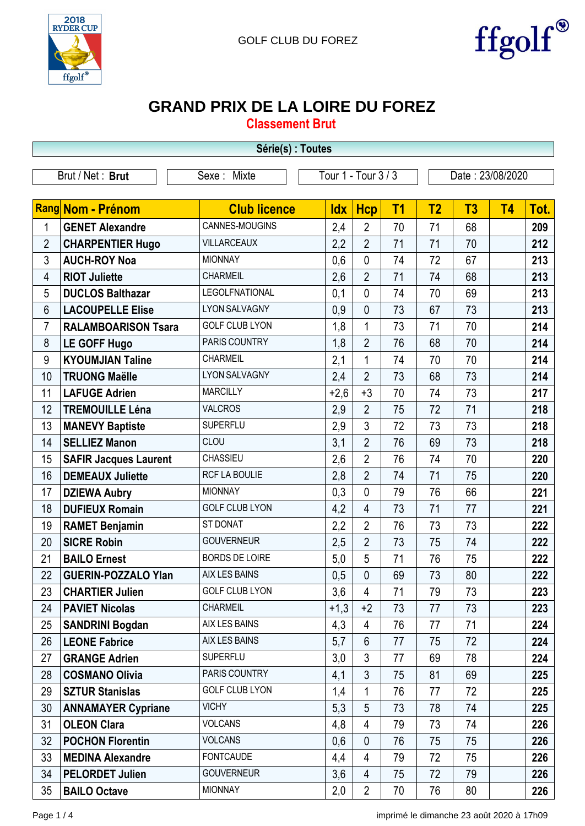



## **GRAND PRIX DE LA LOIRE DU FOREZ**

**Classement Brut**

|                | Série(s) : Toutes                                                          |                       |            |                |           |                |    |           |      |  |  |
|----------------|----------------------------------------------------------------------------|-----------------------|------------|----------------|-----------|----------------|----|-----------|------|--|--|
|                | Tour 1 - Tour 3 / 3<br>Brut / Net: Brut<br>Sexe: Mixte<br>Date: 23/08/2020 |                       |            |                |           |                |    |           |      |  |  |
|                |                                                                            |                       |            |                |           |                |    |           |      |  |  |
|                | Rang Nom - Prénom                                                          | <b>Club licence</b>   | <b>Idx</b> | <b>Hcp</b>     | <b>T1</b> | T <sub>2</sub> | T3 | <b>T4</b> | Tot. |  |  |
| $\mathbf 1$    | <b>GENET Alexandre</b>                                                     | CANNES-MOUGINS        | 2,4        | $\overline{2}$ | 70        | 71             | 68 |           | 209  |  |  |
| $\overline{2}$ | <b>CHARPENTIER Hugo</b>                                                    | <b>VILLARCEAUX</b>    | 2,2        | $\overline{2}$ | 71        | 71             | 70 |           | 212  |  |  |
| 3              | <b>AUCH-ROY Noa</b>                                                        | <b>MIONNAY</b>        | 0,6        | $\mathbf{0}$   | 74        | 72             | 67 |           | 213  |  |  |
| 4              | <b>RIOT Juliette</b>                                                       | <b>CHARMEIL</b>       | 2,6        | $\overline{2}$ | 71        | 74             | 68 |           | 213  |  |  |
| 5              | <b>DUCLOS Balthazar</b>                                                    | <b>LEGOLFNATIONAL</b> | 0,1        | $\mathbf{0}$   | 74        | 70             | 69 |           | 213  |  |  |
| 6              | <b>LACOUPELLE Elise</b>                                                    | <b>LYON SALVAGNY</b>  | 0,9        | $\mathbf{0}$   | 73        | 67             | 73 |           | 213  |  |  |
| $\overline{7}$ | <b>RALAMBOARISON Tsara</b>                                                 | <b>GOLF CLUB LYON</b> | 1,8        | 1              | 73        | 71             | 70 |           | 214  |  |  |
| 8              | <b>LE GOFF Hugo</b>                                                        | PARIS COUNTRY         | 1,8        | $\overline{2}$ | 76        | 68             | 70 |           | 214  |  |  |
| 9              | <b>KYOUMJIAN Taline</b>                                                    | <b>CHARMEIL</b>       | 2,1        | 1              | 74        | 70             | 70 |           | 214  |  |  |
| 10             | <b>TRUONG Maëlle</b>                                                       | <b>LYON SALVAGNY</b>  | 2,4        | $\overline{2}$ | 73        | 68             | 73 |           | 214  |  |  |
| 11             | <b>LAFUGE Adrien</b>                                                       | <b>MARCILLY</b>       | $+2,6$     | $+3$           | 70        | 74             | 73 |           | 217  |  |  |
| 12             | <b>TREMOUILLE Léna</b>                                                     | <b>VALCROS</b>        | 2,9        | $\overline{2}$ | 75        | 72             | 71 |           | 218  |  |  |
| 13             | <b>MANEVY Baptiste</b>                                                     | <b>SUPERFLU</b>       | 2,9        | 3              | 72        | 73             | 73 |           | 218  |  |  |
| 14             | <b>SELLIEZ Manon</b>                                                       | CLOU                  | 3,1        | $\overline{2}$ | 76        | 69             | 73 |           | 218  |  |  |
| 15             | <b>SAFIR Jacques Laurent</b>                                               | <b>CHASSIEU</b>       | 2,6        | $\overline{2}$ | 76        | 74             | 70 |           | 220  |  |  |
| 16             | <b>DEMEAUX Juliette</b>                                                    | RCF LA BOULIE         | 2,8        | $\overline{2}$ | 74        | 71             | 75 |           | 220  |  |  |
| 17             | <b>DZIEWA Aubry</b>                                                        | <b>MIONNAY</b>        | 0,3        | $\mathbf{0}$   | 79        | 76             | 66 |           | 221  |  |  |
| 18             | <b>DUFIEUX Romain</b>                                                      | <b>GOLF CLUB LYON</b> | 4,2        | $\overline{4}$ | 73        | 71             | 77 |           | 221  |  |  |
| 19             | <b>RAMET Benjamin</b>                                                      | ST DONAT              | 2,2        | $\overline{2}$ | 76        | 73             | 73 |           | 222  |  |  |
| 20             | <b>SICRE Robin</b>                                                         | <b>GOUVERNEUR</b>     | 2,5        | $\overline{2}$ | 73        | 75             | 74 |           | 222  |  |  |
| 21             | <b>BAILO Ernest</b>                                                        | <b>BORDS DE LOIRE</b> | 5,0        | 5              | 71        | 76             | 75 |           | 222  |  |  |
| 22             | <b>GUERIN-POZZALO Ylan</b>                                                 | <b>AIX LES BAINS</b>  | 0,5        | $\overline{0}$ | 69        | 73             | 80 |           | 222  |  |  |
| 23             | <b>CHARTIER Julien</b>                                                     | <b>GOLF CLUB LYON</b> | 3,6        | $\overline{4}$ | 71        | 79             | 73 |           | 223  |  |  |
| 24             | <b>PAVIET Nicolas</b>                                                      | <b>CHARMEIL</b>       | $+1,3$     | $+2$           | 73        | 77             | 73 |           | 223  |  |  |
| 25             | <b>SANDRINI Bogdan</b>                                                     | AIX LES BAINS         | 4,3        | 4              | 76        | 77             | 71 |           | 224  |  |  |
| 26             | <b>LEONE Fabrice</b>                                                       | AIX LES BAINS         | 5,7        | 6              | 77        | 75             | 72 |           | 224  |  |  |
| 27             | <b>GRANGE Adrien</b>                                                       | <b>SUPERFLU</b>       | 3,0        | 3              | 77        | 69             | 78 |           | 224  |  |  |
| 28             | <b>COSMANO Olivia</b>                                                      | PARIS COUNTRY         | 4,1        | 3              | 75        | 81             | 69 |           | 225  |  |  |
| 29             | <b>SZTUR Stanislas</b>                                                     | <b>GOLF CLUB LYON</b> | 1,4        | 1              | 76        | 77             | 72 |           | 225  |  |  |
| 30             | <b>ANNAMAYER Cypriane</b>                                                  | <b>VICHY</b>          | 5,3        | 5              | 73        | 78             | 74 |           | 225  |  |  |
| 31             | <b>OLEON Clara</b>                                                         | <b>VOLCANS</b>        | 4,8        | 4              | 79        | 73             | 74 |           | 226  |  |  |
| 32             | <b>POCHON Florentin</b>                                                    | <b>VOLCANS</b>        | 0,6        | $\mathbf{0}$   | 76        | 75             | 75 |           | 226  |  |  |
| 33             | <b>MEDINA Alexandre</b>                                                    | <b>FONTCAUDE</b>      | 4,4        | $\overline{4}$ | 79        | 72             | 75 |           | 226  |  |  |
| 34             | <b>PELORDET Julien</b>                                                     | <b>GOUVERNEUR</b>     | 3,6        | $\overline{4}$ | 75        | 72             | 79 |           | 226  |  |  |
| 35             | <b>BAILO Octave</b>                                                        | <b>MIONNAY</b>        | 2,0        | $\overline{2}$ | 70        | 76             | 80 |           | 226  |  |  |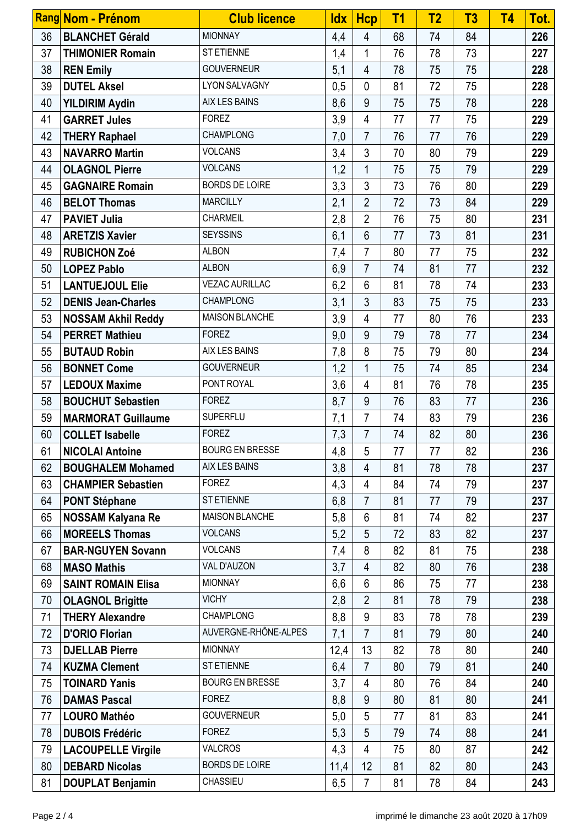|    | Rang Nom - Prénom         | <b>Club licence</b>    | <u>ldx</u> | Hcp            | T <sub>1</sub> | T <sub>2</sub> | T <sub>3</sub> | <b>T4</b> | Tot. |
|----|---------------------------|------------------------|------------|----------------|----------------|----------------|----------------|-----------|------|
| 36 | <b>BLANCHET Gérald</b>    | <b>MIONNAY</b>         | 4,4        | $\overline{4}$ | 68             | 74             | 84             |           | 226  |
| 37 | <b>THIMONIER Romain</b>   | ST ETIENNE             | 1,4        | 1              | 76             | 78             | 73             |           | 227  |
| 38 | <b>REN Emily</b>          | <b>GOUVERNEUR</b>      | 5,1        | $\overline{4}$ | 78             | 75             | 75             |           | 228  |
| 39 | <b>DUTEL Aksel</b>        | LYON SALVAGNY          | 0,5        | 0              | 81             | 72             | 75             |           | 228  |
| 40 | <b>YILDIRIM Aydin</b>     | AIX LES BAINS          | 8,6        | 9              | 75             | 75             | 78             |           | 228  |
| 41 | <b>GARRET Jules</b>       | <b>FOREZ</b>           | 3,9        | 4              | 77             | 77             | 75             |           | 229  |
| 42 | <b>THERY Raphael</b>      | <b>CHAMPLONG</b>       | 7,0        | $\overline{7}$ | 76             | 77             | 76             |           | 229  |
| 43 | <b>NAVARRO Martin</b>     | <b>VOLCANS</b>         | 3,4        | $\mathfrak{Z}$ | 70             | 80             | 79             |           | 229  |
| 44 | <b>OLAGNOL Pierre</b>     | <b>VOLCANS</b>         | 1,2        | $\mathbf{1}$   | 75             | 75             | 79             |           | 229  |
| 45 | <b>GAGNAIRE Romain</b>    | <b>BORDS DE LOIRE</b>  | 3,3        | $\mathfrak{Z}$ | 73             | 76             | 80             |           | 229  |
| 46 | <b>BELOT Thomas</b>       | <b>MARCILLY</b>        | 2,1        | $\overline{2}$ | 72             | 73             | 84             |           | 229  |
| 47 | <b>PAVIET Julia</b>       | CHARMEIL               | 2,8        | $\overline{2}$ | 76             | 75             | 80             |           | 231  |
| 48 | <b>ARETZIS Xavier</b>     | <b>SEYSSINS</b>        | 6,1        | $6\phantom{1}$ | 77             | 73             | 81             |           | 231  |
| 49 | <b>RUBICHON Zoé</b>       | <b>ALBON</b>           | 7,4        | $\overline{7}$ | 80             | 77             | 75             |           | 232  |
| 50 | <b>LOPEZ Pablo</b>        | <b>ALBON</b>           | 6,9        | $\overline{7}$ | 74             | 81             | 77             |           | 232  |
| 51 | <b>LANTUEJOUL Elie</b>    | <b>VEZAC AURILLAC</b>  | 6,2        | 6              | 81             | 78             | 74             |           | 233  |
| 52 | <b>DENIS Jean-Charles</b> | <b>CHAMPLONG</b>       | 3,1        | 3              | 83             | 75             | 75             |           | 233  |
| 53 | <b>NOSSAM Akhil Reddy</b> | <b>MAISON BLANCHE</b>  | 3,9        | 4              | 77             | 80             | 76             |           | 233  |
| 54 | <b>PERRET Mathieu</b>     | <b>FOREZ</b>           | 9,0        | 9              | 79             | 78             | 77             |           | 234  |
| 55 | <b>BUTAUD Robin</b>       | <b>AIX LES BAINS</b>   | 7,8        | 8              | 75             | 79             | 80             |           | 234  |
| 56 | <b>BONNET Come</b>        | <b>GOUVERNEUR</b>      | 1,2        | $\mathbf{1}$   | 75             | 74             | 85             |           | 234  |
| 57 | <b>LEDOUX Maxime</b>      | PONT ROYAL             | 3,6        | $\overline{4}$ | 81             | 76             | 78             |           | 235  |
| 58 | <b>BOUCHUT Sebastien</b>  | <b>FOREZ</b>           | 8,7        | 9              | 76             | 83             | 77             |           | 236  |
| 59 | <b>MARMORAT Guillaume</b> | SUPERFLU               | 7,1        | 7              | 74             | 83             | 79             |           | 236  |
| 60 | <b>COLLET Isabelle</b>    | <b>FOREZ</b>           | 7,3        | $\overline{7}$ | 74             | 82             | 80             |           | 236  |
| 61 | <b>NICOLAI Antoine</b>    | <b>BOURG EN BRESSE</b> | 4,8        | 5              | 77             | 77             | 82             |           | 236  |
| 62 | <b>BOUGHALEM Mohamed</b>  | <b>AIX LES BAINS</b>   | 3,8        | 4              | 81             | 78             | 78             |           | 237  |
| 63 | <b>CHAMPIER Sebastien</b> | <b>FOREZ</b>           | 4,3        | 4              | 84             | 74             | 79             |           | 237  |
| 64 | <b>PONT Stéphane</b>      | ST ETIENNE             | 6,8        | $\overline{7}$ | 81             | 77             | 79             |           | 237  |
| 65 | <b>NOSSAM Kalyana Re</b>  | <b>MAISON BLANCHE</b>  | 5,8        | 6              | 81             | 74             | 82             |           | 237  |
| 66 | <b>MOREELS Thomas</b>     | <b>VOLCANS</b>         | 5,2        | 5              | 72             | 83             | 82             |           | 237  |
| 67 | <b>BAR-NGUYEN Sovann</b>  | <b>VOLCANS</b>         | 7,4        | 8              | 82             | 81             | 75             |           | 238  |
| 68 | <b>MASO Mathis</b>        | VAL D'AUZON            | 3,7        | 4              | 82             | 80             | 76             |           | 238  |
| 69 | <b>SAINT ROMAIN Elisa</b> | <b>MIONNAY</b>         | 6,6        | 6              | 86             | 75             | 77             |           | 238  |
| 70 | <b>OLAGNOL Brigitte</b>   | <b>VICHY</b>           | 2,8        | $\overline{2}$ | 81             | 78             | 79             |           | 238  |
| 71 | <b>THERY Alexandre</b>    | <b>CHAMPLONG</b>       | 8,8        | 9              | 83             | 78             | 78             |           | 239  |
| 72 | <b>D'ORIO Florian</b>     | AUVERGNE-RHÔNE-ALPES   | 7,1        | $\overline{7}$ | 81             | 79             | 80             |           | 240  |
| 73 | <b>DJELLAB Pierre</b>     | <b>MIONNAY</b>         | 12,4       | 13             | 82             | 78             | 80             |           | 240  |
| 74 | <b>KUZMA Clement</b>      | ST ETIENNE             | 6,4        | $\overline{7}$ | 80             | 79             | 81             |           | 240  |
| 75 | <b>TOINARD Yanis</b>      | <b>BOURG EN BRESSE</b> | 3,7        | $\overline{4}$ | 80             | 76             | 84             |           | 240  |
| 76 | <b>DAMAS Pascal</b>       | <b>FOREZ</b>           | 8,8        | 9              | 80             | 81             | 80             |           | 241  |
| 77 | <b>LOURO Mathéo</b>       | <b>GOUVERNEUR</b>      | 5,0        | 5              | 77             | 81             | 83             |           | 241  |
| 78 | <b>DUBOIS Frédéric</b>    | <b>FOREZ</b>           | 5,3        | 5              | 79             | 74             | 88             |           | 241  |
| 79 | <b>LACOUPELLE Virgile</b> | <b>VALCROS</b>         | 4,3        | 4              | 75             | 80             | 87             |           | 242  |
| 80 | <b>DEBARD Nicolas</b>     | <b>BORDS DE LOIRE</b>  | 11,4       | 12             | 81             | 82             | 80             |           | 243  |
| 81 | <b>DOUPLAT Benjamin</b>   | <b>CHASSIEU</b>        | 6,5        | 7              | 81             | 78             | 84             |           | 243  |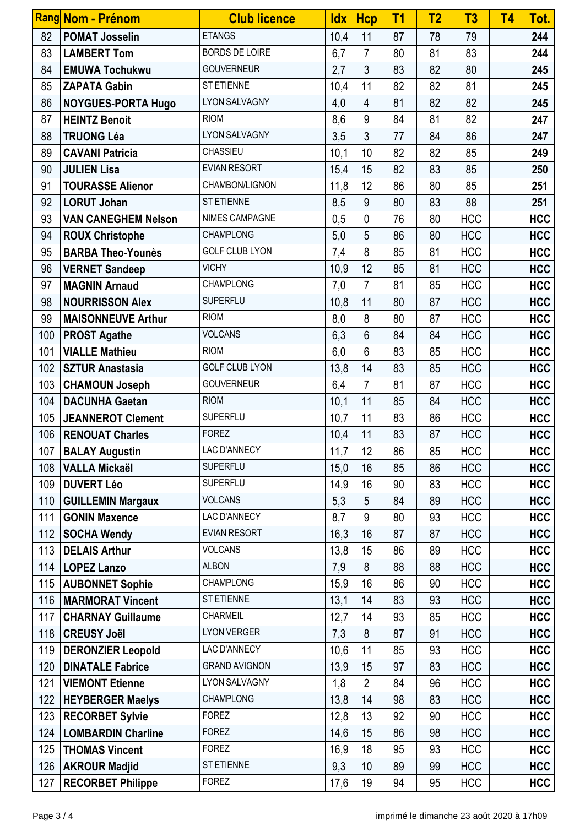|     | Rang Nom - Prénom          | <b>Club licence</b>   | <b>Idx</b> | <b>Hcp</b>     | T <sub>1</sub> | T <sub>2</sub> | T <sub>3</sub> | T <sub>4</sub> | Tot.       |
|-----|----------------------------|-----------------------|------------|----------------|----------------|----------------|----------------|----------------|------------|
| 82  | <b>POMAT Josselin</b>      | <b>ETANGS</b>         | 10,4       | 11             | 87             | 78             | 79             |                | 244        |
| 83  | <b>LAMBERT Tom</b>         | <b>BORDS DE LOIRE</b> | 6,7        | $\overline{7}$ | 80             | 81             | 83             |                | 244        |
| 84  | <b>EMUWA Tochukwu</b>      | <b>GOUVERNEUR</b>     | 2,7        | $\mathfrak{Z}$ | 83             | 82             | 80             |                | 245        |
| 85  | <b>ZAPATA Gabin</b>        | ST ETIENNE            | 10,4       | 11             | 82             | 82             | 81             |                | 245        |
| 86  | <b>NOYGUES-PORTA Hugo</b>  | <b>LYON SALVAGNY</b>  | 4,0        | $\overline{4}$ | 81             | 82             | 82             |                | 245        |
| 87  | <b>HEINTZ Benoit</b>       | <b>RIOM</b>           | 8,6        | 9              | 84             | 81             | 82             |                | 247        |
| 88  | <b>TRUONG Léa</b>          | <b>LYON SALVAGNY</b>  | 3,5        | $\mathfrak{Z}$ | 77             | 84             | 86             |                | 247        |
| 89  | <b>CAVANI Patricia</b>     | CHASSIEU              | 10,1       | 10             | 82             | 82             | 85             |                | 249        |
| 90  | <b>JULIEN Lisa</b>         | <b>EVIAN RESORT</b>   | 15,4       | 15             | 82             | 83             | 85             |                | 250        |
| 91  | <b>TOURASSE Alienor</b>    | CHAMBON/LIGNON        | 11,8       | 12             | 86             | 80             | 85             |                | 251        |
| 92  | <b>LORUT Johan</b>         | ST ETIENNE            | 8,5        | 9              | 80             | 83             | 88             |                | 251        |
| 93  | <b>VAN CANEGHEM Nelson</b> | NIMES CAMPAGNE        | 0,5        | $\mathbf{0}$   | 76             | 80             | <b>HCC</b>     |                | <b>HCC</b> |
| 94  | <b>ROUX Christophe</b>     | <b>CHAMPLONG</b>      | 5,0        | 5              | 86             | 80             | <b>HCC</b>     |                | <b>HCC</b> |
| 95  | <b>BARBA Theo-Younès</b>   | <b>GOLF CLUB LYON</b> | 7,4        | 8              | 85             | 81             | <b>HCC</b>     |                | <b>HCC</b> |
| 96  | <b>VERNET Sandeep</b>      | <b>VICHY</b>          | 10,9       | 12             | 85             | 81             | <b>HCC</b>     |                | <b>HCC</b> |
| 97  | <b>MAGNIN Arnaud</b>       | <b>CHAMPLONG</b>      | 7,0        | $\overline{7}$ | 81             | 85             | <b>HCC</b>     |                | <b>HCC</b> |
| 98  | <b>NOURRISSON Alex</b>     | <b>SUPERFLU</b>       | 10,8       | 11             | 80             | 87             | <b>HCC</b>     |                | <b>HCC</b> |
| 99  | <b>MAISONNEUVE Arthur</b>  | <b>RIOM</b>           | 8,0        | 8              | 80             | 87             | <b>HCC</b>     |                | <b>HCC</b> |
| 100 | <b>PROST Agathe</b>        | <b>VOLCANS</b>        | 6,3        | 6              | 84             | 84             | <b>HCC</b>     |                | <b>HCC</b> |
| 101 | <b>VIALLE Mathieu</b>      | <b>RIOM</b>           | 6,0        | 6              | 83             | 85             | <b>HCC</b>     |                | <b>HCC</b> |
| 102 | <b>SZTUR Anastasia</b>     | <b>GOLF CLUB LYON</b> | 13,8       | 14             | 83             | 85             | <b>HCC</b>     |                | <b>HCC</b> |
| 103 | <b>CHAMOUN Joseph</b>      | <b>GOUVERNEUR</b>     | 6,4        | $\overline{7}$ | 81             | 87             | <b>HCC</b>     |                | <b>HCC</b> |
| 104 | <b>DACUNHA Gaetan</b>      | <b>RIOM</b>           | 10,1       | 11             | 85             | 84             | <b>HCC</b>     |                | <b>HCC</b> |
| 105 | <b>JEANNEROT Clement</b>   | <b>SUPERFLU</b>       | 10,7       | 11             | 83             | 86             | <b>HCC</b>     |                | <b>HCC</b> |
| 106 | <b>RENOUAT Charles</b>     | <b>FOREZ</b>          | 10,4       | 11             | 83             | 87             | <b>HCC</b>     |                | <b>HCC</b> |
| 107 | <b>BALAY Augustin</b>      | LAC D'ANNECY          | 11,7       | 12             | 86             | 85             | <b>HCC</b>     |                | <b>HCC</b> |
| 108 | <b>VALLA Mickaël</b>       | <b>SUPERFLU</b>       | 15,0       | 16             | 85             | 86             | <b>HCC</b>     |                | <b>HCC</b> |
| 109 | <b>DUVERT Léo</b>          | <b>SUPERFLU</b>       | 14,9       | 16             | 90             | 83             | <b>HCC</b>     |                | <b>HCC</b> |
| 110 | <b>GUILLEMIN Margaux</b>   | <b>VOLCANS</b>        | 5,3        | 5              | 84             | 89             | <b>HCC</b>     |                | <b>HCC</b> |
| 111 | <b>GONIN Maxence</b>       | <b>LAC D'ANNECY</b>   | 8,7        | 9              | 80             | 93             | <b>HCC</b>     |                | <b>HCC</b> |
| 112 | <b>SOCHA Wendy</b>         | <b>EVIAN RESORT</b>   | 16,3       | 16             | 87             | 87             | <b>HCC</b>     |                | <b>HCC</b> |
| 113 | <b>DELAIS Arthur</b>       | <b>VOLCANS</b>        | 13,8       | 15             | 86             | 89             | <b>HCC</b>     |                | <b>HCC</b> |
| 114 | <b>LOPEZ Lanzo</b>         | <b>ALBON</b>          | 7,9        | 8              | 88             | 88             | <b>HCC</b>     |                | <b>HCC</b> |
| 115 | <b>AUBONNET Sophie</b>     | <b>CHAMPLONG</b>      | 15,9       | 16             | 86             | 90             | <b>HCC</b>     |                | <b>HCC</b> |
| 116 | <b>MARMORAT Vincent</b>    | ST ETIENNE            | 13,1       | 14             | 83             | 93             | <b>HCC</b>     |                | <b>HCC</b> |
| 117 | <b>CHARNAY Guillaume</b>   | CHARMEIL              | 12,7       | 14             | 93             | 85             | <b>HCC</b>     |                | <b>HCC</b> |
| 118 | <b>CREUSY Joël</b>         | <b>LYON VERGER</b>    | 7,3        | 8              | 87             | 91             | <b>HCC</b>     |                | <b>HCC</b> |
| 119 | <b>DERONZIER Leopold</b>   | LAC D'ANNECY          | 10,6       | 11             | 85             | 93             | <b>HCC</b>     |                | <b>HCC</b> |
| 120 | <b>DINATALE Fabrice</b>    | <b>GRAND AVIGNON</b>  | 13,9       | 15             | 97             | 83             | <b>HCC</b>     |                | <b>HCC</b> |
| 121 | <b>VIEMONT Etienne</b>     | <b>LYON SALVAGNY</b>  | 1,8        | $\overline{2}$ | 84             | 96             | <b>HCC</b>     |                | <b>HCC</b> |
| 122 | <b>HEYBERGER Maelys</b>    | <b>CHAMPLONG</b>      | 13,8       | 14             | 98             | 83             | <b>HCC</b>     |                | <b>HCC</b> |
| 123 | <b>RECORBET Sylvie</b>     | <b>FOREZ</b>          | 12,8       | 13             | 92             | 90             | <b>HCC</b>     |                | <b>HCC</b> |
| 124 | <b>LOMBARDIN Charline</b>  | <b>FOREZ</b>          | 14,6       | 15             | 86             | 98             | <b>HCC</b>     |                | <b>HCC</b> |
| 125 | <b>THOMAS Vincent</b>      | <b>FOREZ</b>          | 16,9       | 18             | 95             | 93             | <b>HCC</b>     |                | <b>HCC</b> |
| 126 | <b>AKROUR Madjid</b>       | ST ETIENNE            | 9,3        | 10             | 89             | 99             | <b>HCC</b>     |                | <b>HCC</b> |
| 127 | <b>RECORBET Philippe</b>   | <b>FOREZ</b>          | 17,6       | 19             | 94             | 95             | <b>HCC</b>     |                | <b>HCC</b> |